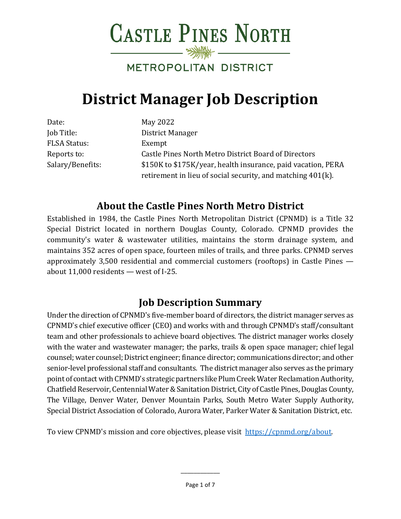**CASTLE PINES NORTH** 

# METROPOLITAN DISTRICT

# **District Manager Job Description**

| Date:               | May 2022                                                     |
|---------------------|--------------------------------------------------------------|
| Job Title:          | District Manager                                             |
| <b>FLSA Status:</b> | Exempt                                                       |
| Reports to:         | Castle Pines North Metro District Board of Directors         |
| Salary/Benefits:    | \$150K to \$175K/year, health insurance, paid vacation, PERA |
|                     | retirement in lieu of social security, and matching 401(k).  |

# **About the Castle Pines North Metro District**

Established in 1984, the Castle Pines North Metropolitan District (CPNMD) is a Title 32 Special District located in northern Douglas County, Colorado. CPNMD provides the community's water & wastewater utilities, maintains the storm drainage system, and maintains 352 acres of open space, fourteen miles of trails, and three parks. CPNMD serves approximately 3,500 residential and commercial customers (rooftops) in Castle Pines about 11,000 residents — west of I-25.

## **Job Description Summary**

Under the direction of CPNMD's five-member board of directors, the district manager serves as CPNMD's chief executive officer (CEO) and works with and through CPNMD's staff/consultant team and other professionals to achieve board objectives. The district manager works closely with the water and wastewater manager; the parks, trails & open space manager; chief legal counsel; water counsel; District engineer; finance director; communications director; and other senior-level professional staff and consultants. The district manager also serves as the primary point of contact with CPNMD's strategic partners like Plum Creek Water Reclamation Authority, Chatfield Reservoir, Centennial Water & Sanitation District, City of Castle Pines, Douglas County, The Village, Denver Water, Denver Mountain Parks, South Metro Water Supply Authority, Special District Association of Colorado, Aurora Water, Parker Water & Sanitation District, etc.

To view CPNMD's mission and core objectives, please visit [https://cpnmd.org/about.](https://cpnmd.org/about)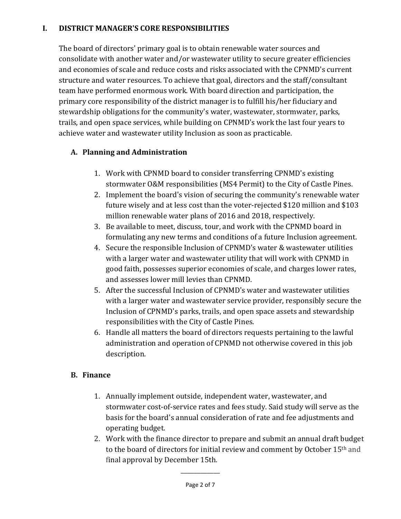#### **I. DISTRICT MANAGER'S CORE RESPONSIBILITIES**

The board of directors' primary goal is to obtain renewable water sources and consolidate with another water and/or wastewater utility to secure greater efficiencies and economies of scale and reduce costs and risks associated with the CPNMD's current structure and water resources. To achieve that goal, directors and the staff/consultant team have performed enormous work. With board direction and participation, the primary core responsibility of the district manager is to fulfill his/her fiduciary and stewardship obligations for the community's water, wastewater, stormwater, parks, trails, and open space services, while building on CPNMD's work the last four years to achieve water and wastewater utility Inclusion as soon as practicable.

#### **A. Planning and Administration**

- 1. Work with CPNMD board to consider transferring CPNMD's existing stormwater O&M responsibilities (MS4 Permit) to the City of Castle Pines.
- 2. Implement the board's vision of securing the community's renewable water future wisely and at less cost than the voter-rejected \$120 million and \$103 million renewable water plans of 2016 and 2018, respectively.
- 3. Be available to meet, discuss, tour, and work with the CPNMD board in formulating any new terms and conditions of a future Inclusion agreement.
- 4. Secure the responsible Inclusion of CPNMD's water & wastewater utilities with a larger water and wastewater utility that will work with CPNMD in good faith, possesses superior economies of scale, and charges lower rates, and assesses lower mill levies than CPNMD.
- 5. After the successful Inclusion of CPNMD's water and wastewater utilities with a larger water and wastewater service provider, responsibly secure the Inclusion of CPNMD's parks, trails, and open space assets and stewardship responsibilities with the City of Castle Pines.
- 6. Handle all matters the board of directors requests pertaining to the lawful administration and operation of CPNMD not otherwise covered in this job description.

#### **B. Finance**

- 1. Annually implement outside, independent water, wastewater, and stormwater cost-of-service rates and fees study. Said study will serve as the basis for the board's annual consideration of rate and fee adjustments and operating budget.
- 2. Work with the finance director to prepare and submit an annual draft budget to the board of directors for initial review and comment by October 15th and final approval by December 15th.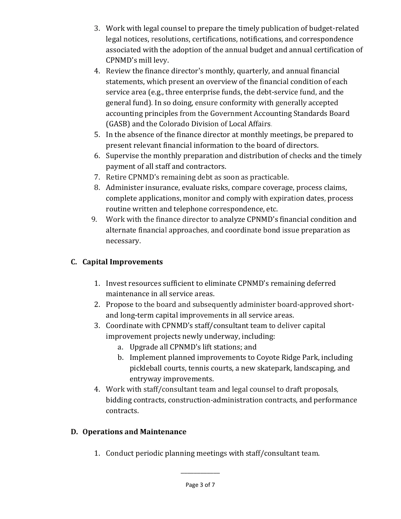- 3. Work with legal counsel to prepare the timely publication of budget-related legal notices, resolutions, certifications, notifications, and correspondence associated with the adoption of the annual budget and annual certification of CPNMD's mill levy.
- 4. Review the finance director's monthly, quarterly, and annual financial statements, which present an overview of the financial condition of each service area (e.g., three enterprise funds, the debt-service fund, and the general fund). In so doing, ensure conformity with generally accepted accounting principles from the Government Accounting Standards Board (GASB) and the Colorado Division of Local Affairs.
- 5. In the absence of the finance director at monthly meetings, be prepared to present relevant financial information to the board of directors.
- 6. Supervise the monthly preparation and distribution of checks and the timely payment of all staff and contractors.
- 7. Retire CPNMD's remaining debt as soon as practicable.
- 8. Administer insurance, evaluate risks, compare coverage, process claims, complete applications, monitor and comply with expiration dates, process routine written and telephone correspondence, etc.
- 9. Work with the finance director to analyze CPNMD's financial condition and alternate financial approaches, and coordinate bond issue preparation as necessary.

#### **C. Capital Improvements**

- 1. Invest resources sufficient to eliminate CPNMD's remaining deferred maintenance in all service areas.
- 2. Propose to the board and subsequently administer board-approved shortand long-term capital improvements in all service areas.
- 3. Coordinate with CPNMD's staff/consultant team to deliver capital improvement projects newly underway, including:
	- a. Upgrade all CPNMD's lift stations; and
	- b. Implement planned improvements to Coyote Ridge Park, including pickleball courts, tennis courts, a new skatepark, landscaping, and entryway improvements.
- 4. Work with staff/consultant team and legal counsel to draft proposals, bidding contracts, construction-administration contracts, and performance contracts.

#### **D. Operations and Maintenance**

1. Conduct periodic planning meetings with staff/consultant team.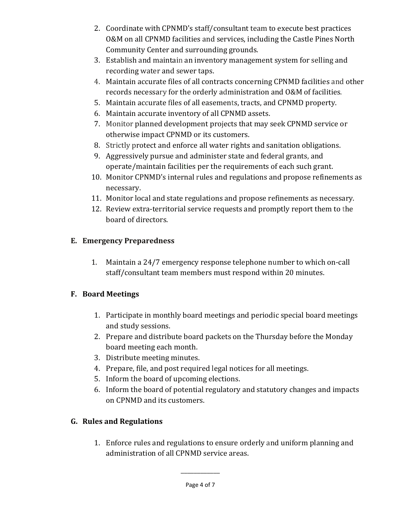- 2. Coordinate with CPNMD's staff/consultant team to execute best practices O&M on all CPNMD facilities and services, including the Castle Pines North Community Center and surrounding grounds.
- 3. Establish and maintain an inventory management system for selling and recording water and sewer taps.
- 4. Maintain accurate files of all contracts concerning CPNMD facilities and other records necessary for the orderly administration and O&M of facilities.
- 5. Maintain accurate files of all easements, tracts, and CPNMD property.
- 6. Maintain accurate inventory of all CPNMD assets.
- 7. Monitor planned development projects that may seek CPNMD service or otherwise impact CPNMD or its customers.
- 8. Strictly protect and enforce all water rights and sanitation obligations.
- 9. Aggressively pursue and administer state and federal grants, and operate/maintain facilities per the requirements of each such grant.
- 10. Monitor CPNMD's internal rules and regulations and propose refinements as necessary.
- 11. Monitor local and state regulations and propose refinements as necessary.
- 12. Review extra-territorial service requests and promptly report them to the board of directors.

### **E. Emergency Preparedness**

1. Maintain a 24/7 emergency response telephone number to which on-call staff/consultant team members must respond within 20 minutes.

#### **F. Board Meetings**

- 1. Participate in monthly board meetings and periodic special board meetings and study sessions.
- 2. Prepare and distribute board packets on the Thursday before the Monday board meeting each month.
- 3. Distribute meeting minutes.
- 4. Prepare, file, and post required legal notices for all meetings.
- 5. Inform the board of upcoming elections.
- 6. Inform the board of potential regulatory and statutory changes and impacts on CPNMD and its customers.

## **G. Rules and Regulations**

1. Enforce rules and regulations to ensure orderly and uniform planning and administration of all CPNMD service areas.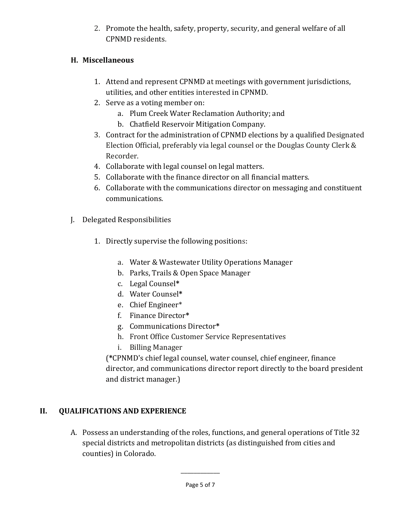2. Promote the health, safety, property, security, and general welfare of all CPNMD residents.

#### **H. Miscellaneous**

- 1. Attend and represent CPNMD at meetings with government jurisdictions, utilities, and other entities interested in CPNMD.
- 2. Serve as a voting member on:
	- a. Plum Creek Water Reclamation Authority; and
	- b. Chatfield Reservoir Mitigation Company.
- 3. Contract for the administration of CPNMD elections by a qualified Designated Election Official, preferably via legal counsel or the Douglas County Clerk & Recorder.
- 4. Collaborate with legal counsel on legal matters.
- 5. Collaborate with the finance director on all financial matters.
- 6. Collaborate with the communications director on messaging and constituent communications.
- J. Delegated Responsibilities
	- 1. Directly supervise the following positions:
		- a. Water & Wastewater Utility Operations Manager
		- b. Parks, Trails & Open Space Manager
		- c. Legal Counsel**\***
		- d. Water Counsel**\***
		- e. Chief Engineer\*
		- f. Finance Director**\***
		- g. Communications Director**\***
		- h. Front Office Customer Service Representatives
		- i. Billing Manager

(**\***CPNMD's chief legal counsel, water counsel, chief engineer, finance director, and communications director report directly to the board president and district manager.)

## **II. QUALIFICATIONS AND EXPERIENCE**

A. Possess an understanding of the roles, functions, and general operations of Title 32 special districts and metropolitan districts (as distinguished from cities and counties) in Colorado.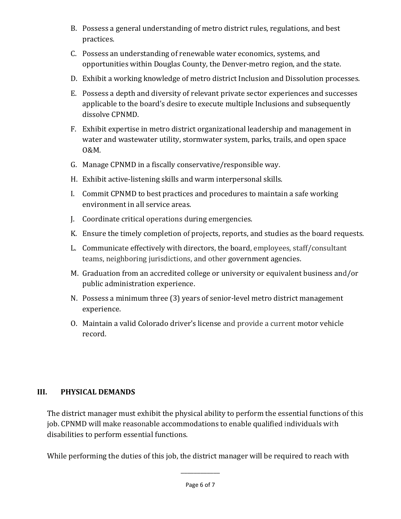- B. Possess a general understanding of metro district rules, regulations, and best practices.
- C. Possess an understanding of renewable water economics, systems, and opportunities within Douglas County, the Denver-metro region, and the state.
- D. Exhibit a working knowledge of metro district Inclusion and Dissolution processes.
- E. Possess a depth and diversity of relevant private sector experiences and successes applicable to the board's desire to execute multiple Inclusions and subsequently dissolve CPNMD.
- F. Exhibit expertise in metro district organizational leadership and management in water and wastewater utility, stormwater system, parks, trails, and open space O&M.
- G. Manage CPNMD in a fiscally conservative/responsible way.
- H. Exhibit active-listening skills and warm interpersonal skills.
- I. Commit CPNMD to best practices and procedures to maintain a safe working environment in all service areas.
- J. Coordinate critical operations during emergencies.
- K. Ensure the timely completion of projects, reports, and studies as the board requests.
- L. Communicate effectively with directors, the board, employees, staff/consultant teams, neighboring jurisdictions, and other government agencies.
- M. Graduation from an accredited college or university or equivalent business and/or public administration experience.
- N. Possess a minimum three (3) years of senior-level metro district management experience.
- O. Maintain a valid Colorado driver's license and provide a current motor vehicle record.

#### **III. PHYSICAL DEMANDS**

The district manager must exhibit the physical ability to perform the essential functions of this job. CPNMD will make reasonable accommodations to enable qualified individuals with disabilities to perform essential functions.

While performing the duties of this job, the district manager will be required to reach with